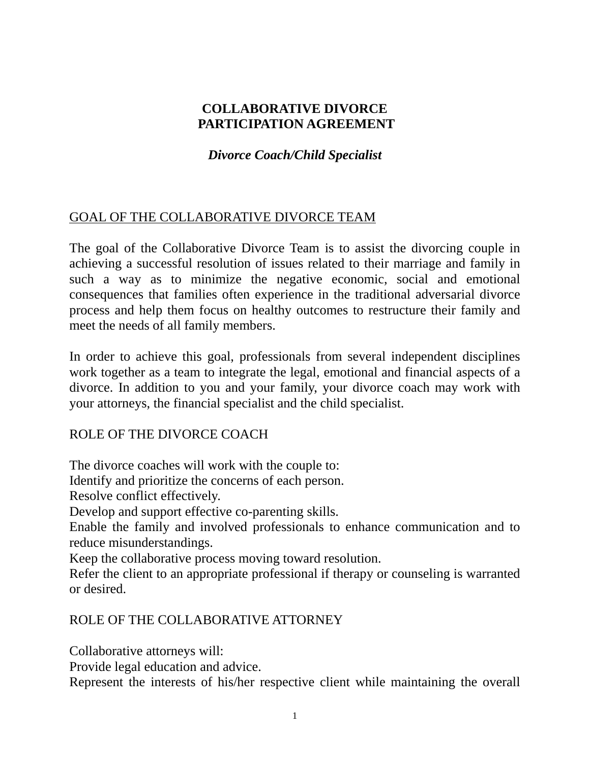### **COLLABORATIVE DIVORCE PARTICIPATION AGREEMENT**

### *Divorce Coach/Child Specialist*

# GOAL OF THE COLLABORATIVE DIVORCE TEAM

The goal of the Collaborative Divorce Team is to assist the divorcing couple in achieving a successful resolution of issues related to their marriage and family in such a way as to minimize the negative economic, social and emotional consequences that families often experience in the traditional adversarial divorce process and help them focus on healthy outcomes to restructure their family and meet the needs of all family members.

In order to achieve this goal, professionals from several independent disciplines work together as a team to integrate the legal, emotional and financial aspects of a divorce. In addition to you and your family, your divorce coach may work with your attorneys, the financial specialist and the child specialist.

### ROLE OF THE DIVORCE COACH

The divorce coaches will work with the couple to:

Identify and prioritize the concerns of each person.

Resolve conflict effectively.

Develop and support effective co-parenting skills.

Enable the family and involved professionals to enhance communication and to reduce misunderstandings.

Keep the collaborative process moving toward resolution.

Refer the client to an appropriate professional if therapy or counseling is warranted or desired.

### ROLE OF THE COLLABORATIVE ATTORNEY

Collaborative attorneys will:

Provide legal education and advice.

Represent the interests of his/her respective client while maintaining the overall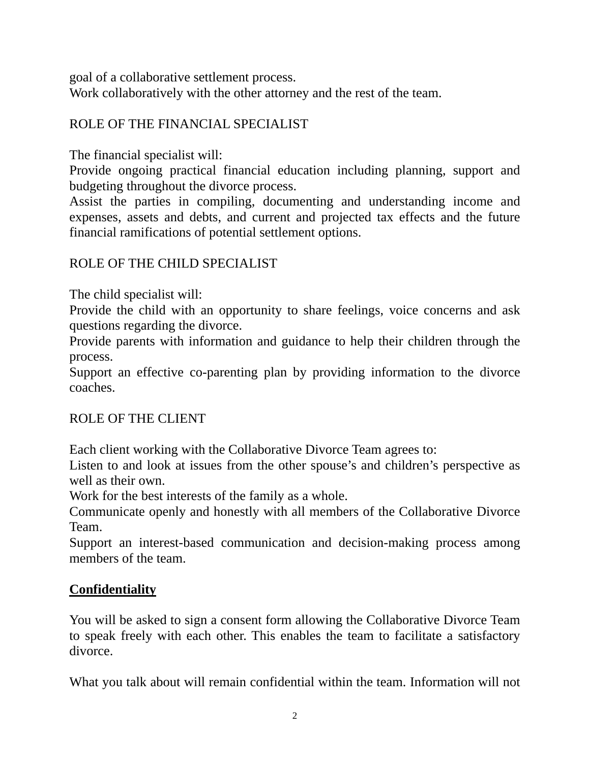goal of a collaborative settlement process.

Work collaboratively with the other attorney and the rest of the team.

### ROLE OF THE FINANCIAL SPECIALIST

The financial specialist will:

Provide ongoing practical financial education including planning, support and budgeting throughout the divorce process.

Assist the parties in compiling, documenting and understanding income and expenses, assets and debts, and current and projected tax effects and the future financial ramifications of potential settlement options.

# ROLE OF THE CHILD SPECIALIST

The child specialist will:

Provide the child with an opportunity to share feelings, voice concerns and ask questions regarding the divorce.

Provide parents with information and guidance to help their children through the process.

Support an effective co-parenting plan by providing information to the divorce coaches.

# ROLE OF THE CLIENT

Each client working with the Collaborative Divorce Team agrees to:

Listen to and look at issues from the other spouse's and children's perspective as well as their own.

Work for the best interests of the family as a whole.

Communicate openly and honestly with all members of the Collaborative Divorce Team.

Support an interest-based communication and decision-making process among members of the team.

# **Confidentiality**

You will be asked to sign a consent form allowing the Collaborative Divorce Team to speak freely with each other. This enables the team to facilitate a satisfactory divorce.

What you talk about will remain confidential within the team. Information will not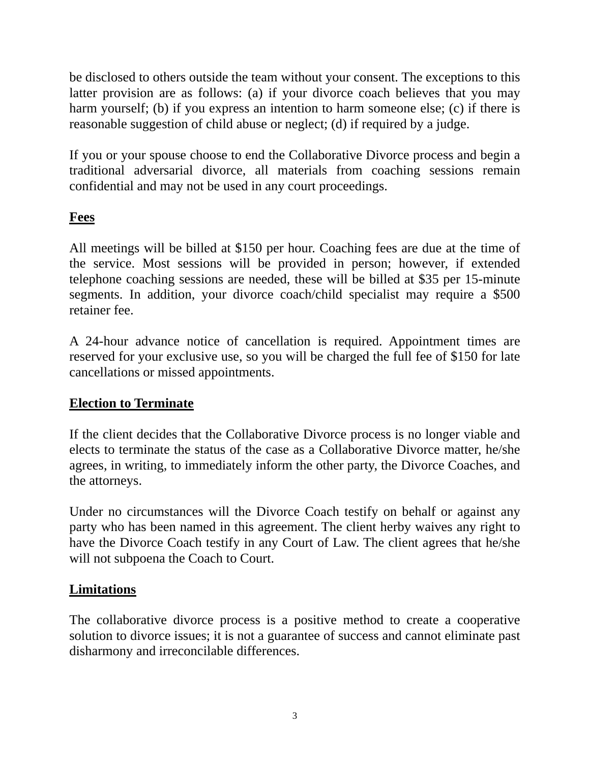be disclosed to others outside the team without your consent. The exceptions to this latter provision are as follows: (a) if your divorce coach believes that you may harm yourself; (b) if you express an intention to harm someone else; (c) if there is reasonable suggestion of child abuse or neglect; (d) if required by a judge.

If you or your spouse choose to end the Collaborative Divorce process and begin a traditional adversarial divorce, all materials from coaching sessions remain confidential and may not be used in any court proceedings.

### **Fees**

All meetings will be billed at \$150 per hour. Coaching fees are due at the time of the service. Most sessions will be provided in person; however, if extended telephone coaching sessions are needed, these will be billed at \$35 per 15-minute segments. In addition, your divorce coach/child specialist may require a \$500 retainer fee.

A 24-hour advance notice of cancellation is required. Appointment times are reserved for your exclusive use, so you will be charged the full fee of \$150 for late cancellations or missed appointments.

### **Election to Terminate**

If the client decides that the Collaborative Divorce process is no longer viable and elects to terminate the status of the case as a Collaborative Divorce matter, he/she agrees, in writing, to immediately inform the other party, the Divorce Coaches, and the attorneys.

Under no circumstances will the Divorce Coach testify on behalf or against any party who has been named in this agreement. The client herby waives any right to have the Divorce Coach testify in any Court of Law. The client agrees that he/she will not subpoena the Coach to Court.

### **Limitations**

The collaborative divorce process is a positive method to create a cooperative solution to divorce issues; it is not a guarantee of success and cannot eliminate past disharmony and irreconcilable differences.